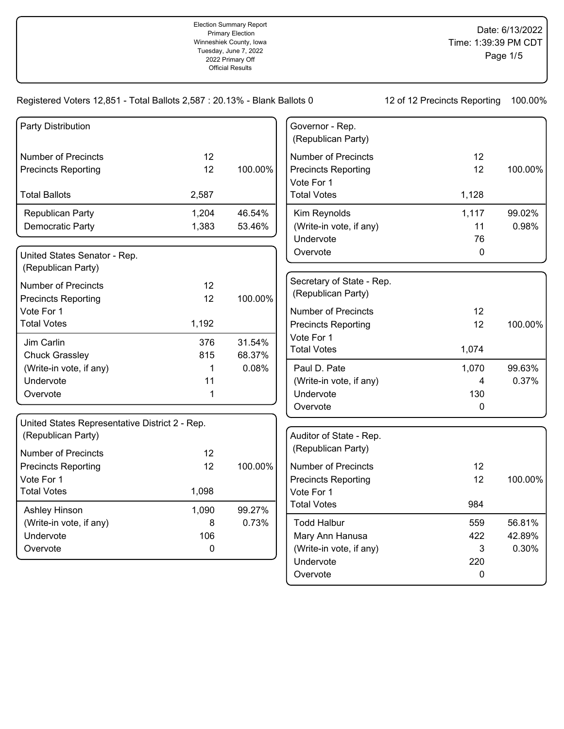| Party Distribution                             |           |         | Governor - Rep.<br>(Republican Party) |              |         |
|------------------------------------------------|-----------|---------|---------------------------------------|--------------|---------|
| <b>Number of Precincts</b>                     | 12        |         | <b>Number of Precincts</b>            | 12           |         |
| <b>Precincts Reporting</b>                     | 12        | 100.00% | <b>Precincts Reporting</b>            | 12           | 100.00% |
|                                                |           |         | Vote For 1                            |              |         |
| <b>Total Ballots</b>                           | 2,587     |         | <b>Total Votes</b>                    | 1,128        |         |
| Republican Party                               | 1,204     | 46.54%  | Kim Reynolds                          | 1,117        | 99.02%  |
| Democratic Party                               | 1,383     | 53.46%  | (Write-in vote, if any)               | 11           | 0.98%   |
|                                                |           |         | Undervote                             | 76           |         |
| United States Senator - Rep.                   |           |         | Overvote                              | $\mathbf 0$  |         |
| (Republican Party)                             |           |         |                                       |              |         |
| <b>Number of Precincts</b>                     | 12        |         | Secretary of State - Rep.             |              |         |
| <b>Precincts Reporting</b>                     | 12        | 100.00% | (Republican Party)                    |              |         |
| Vote For 1                                     |           |         | <b>Number of Precincts</b>            | 12           |         |
| <b>Total Votes</b>                             | 1,192     |         | <b>Precincts Reporting</b>            | 12           | 100.00% |
| Jim Carlin                                     | 376       | 31.54%  | Vote For 1                            |              |         |
| <b>Chuck Grassley</b>                          | 815       | 68.37%  | <b>Total Votes</b>                    | 1,074        |         |
| (Write-in vote, if any)                        | 1         | 0.08%   | Paul D. Pate                          | 1,070        | 99.63%  |
| Undervote                                      | 11        |         | (Write-in vote, if any)               | 4            | 0.37%   |
| Overvote                                       | 1         |         | Undervote                             | 130          |         |
|                                                |           |         | Overvote                              | $\Omega$     |         |
| United States Representative District 2 - Rep. |           |         |                                       |              |         |
| (Republican Party)                             |           |         | Auditor of State - Rep.               |              |         |
| <b>Number of Precincts</b>                     | 12        |         | (Republican Party)                    |              |         |
| <b>Precincts Reporting</b>                     | 12        | 100.00% | <b>Number of Precincts</b>            | 12           |         |
| Vote For 1                                     |           |         | <b>Precincts Reporting</b>            | 12           | 100.00% |
| <b>Total Votes</b>                             | 1,098     |         | Vote For 1                            |              |         |
| Ashley Hinson                                  | 1,090     | 99.27%  | <b>Total Votes</b>                    | 984          |         |
| (Write-in vote, if any)                        | 8         | 0.73%   | <b>Todd Halbur</b>                    | 559          | 56.81%  |
| Undervote                                      | 106       |         | Mary Ann Hanusa                       | 422          | 42.89%  |
| Overvote                                       | $\pmb{0}$ |         | (Write-in vote, if any)               | 3            | 0.30%   |
|                                                |           |         | Undervote                             | 220          |         |
|                                                |           |         | Overvote                              | $\mathbf{0}$ |         |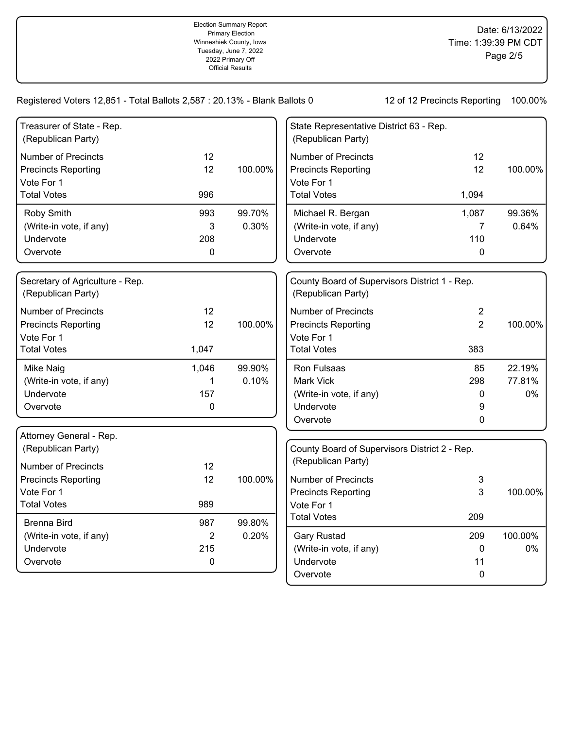| Treasurer of State - Rep.<br>(Republican Party)                                              |                                             |                 | State Representative District 63 - Rep.<br>(Republican Party)                                |                                                 |                        |
|----------------------------------------------------------------------------------------------|---------------------------------------------|-----------------|----------------------------------------------------------------------------------------------|-------------------------------------------------|------------------------|
| <b>Number of Precincts</b><br><b>Precincts Reporting</b><br>Vote For 1<br><b>Total Votes</b> | 12<br>12<br>996                             | 100.00%         | <b>Number of Precincts</b><br><b>Precincts Reporting</b><br>Vote For 1<br><b>Total Votes</b> | 12<br>12<br>1,094                               | 100.00%                |
| Roby Smith<br>(Write-in vote, if any)<br>Undervote<br>Overvote                               | 993<br>3<br>208<br>$\mathbf 0$              | 99.70%<br>0.30% | Michael R. Bergan<br>(Write-in vote, if any)<br>Undervote<br>Overvote                        | 1,087<br>$\overline{7}$<br>110<br>$\mathbf 0$   | 99.36%<br>0.64%        |
| Secretary of Agriculture - Rep.<br>(Republican Party)                                        |                                             |                 | County Board of Supervisors District 1 - Rep.<br>(Republican Party)                          |                                                 |                        |
| <b>Number of Precincts</b><br><b>Precincts Reporting</b><br>Vote For 1<br><b>Total Votes</b> | 12<br>12<br>1,047                           | 100.00%         | <b>Number of Precincts</b><br><b>Precincts Reporting</b><br>Vote For 1<br><b>Total Votes</b> | $\overline{2}$<br>$\overline{2}$<br>383         | 100.00%                |
| Mike Naig<br>(Write-in vote, if any)<br>Undervote<br>Overvote                                | 1,046<br>1<br>157<br>0                      | 99.90%<br>0.10% | Ron Fulsaas<br>Mark Vick<br>(Write-in vote, if any)<br>Undervote<br>Overvote                 | 85<br>298<br>0<br>9<br>0                        | 22.19%<br>77.81%<br>0% |
| Attorney General - Rep.<br>(Republican Party)<br><b>Number of Precincts</b>                  | 12                                          |                 | County Board of Supervisors District 2 - Rep.<br>(Republican Party)                          |                                                 |                        |
| <b>Precincts Reporting</b><br>Vote For 1<br><b>Total Votes</b>                               | 12<br>989                                   | 100.00%         | <b>Number of Precincts</b><br><b>Precincts Reporting</b><br>Vote For 1                       | 3<br>3                                          | 100.00%                |
| <b>Brenna Bird</b><br>(Write-in vote, if any)<br>Undervote<br>Overvote                       | 987<br>$\overline{2}$<br>215<br>$\mathbf 0$ | 99.80%<br>0.20% | <b>Total Votes</b><br><b>Gary Rustad</b><br>(Write-in vote, if any)<br>Undervote<br>Overvote | 209<br>209<br>$\mathbf 0$<br>11<br>$\mathbf{0}$ | 100.00%<br>0%          |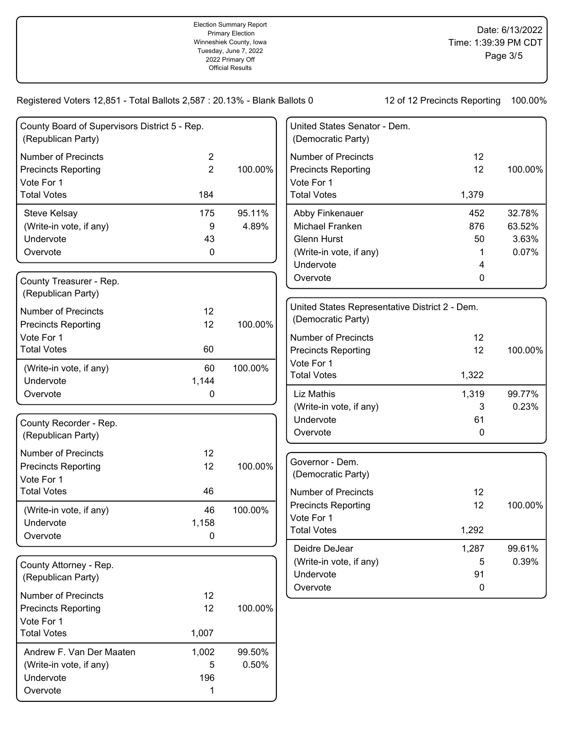Registered Voters 12,851 - Total Ballots 2,587 : 20.13% - Blank Ballots 0 12 of 12 Precincts Reporting 100.00%

| County Board of Supervisors District 5 - Rep.<br>(Republican Party) |                |         | United States Senator - Dem.<br>(Democratic Party) |       |         |
|---------------------------------------------------------------------|----------------|---------|----------------------------------------------------|-------|---------|
| <b>Number of Precincts</b>                                          | $\overline{2}$ |         | <b>Number of Precincts</b>                         | 12    |         |
| <b>Precincts Reporting</b>                                          | $\overline{2}$ | 100.00% | <b>Precincts Reporting</b>                         | 12    | 100.00% |
| Vote For 1                                                          |                |         | Vote For 1                                         |       |         |
| <b>Total Votes</b>                                                  | 184            |         | <b>Total Votes</b>                                 | 1,379 |         |
| Steve Kelsay                                                        | 175            | 95.11%  | Abby Finkenauer                                    | 452   | 32.78%  |
| (Write-in vote, if any)                                             | 9              | 4.89%   | Michael Franken                                    | 876   | 63.52%  |
| Undervote                                                           | 43             |         | Glenn Hurst                                        | 50    | 3.63%   |
| Overvote                                                            | 0              |         | (Write-in vote, if any)                            | 1     | 0.07%   |
|                                                                     |                |         | Undervote                                          | 4     |         |
| County Treasurer - Rep.<br>(Republican Party)                       |                |         | Overvote                                           | 0     |         |
|                                                                     |                |         | United States Representative District 2 - Dem.     |       |         |
| <b>Number of Precincts</b>                                          | 12             |         | (Democratic Party)                                 |       |         |
| <b>Precincts Reporting</b>                                          | 12             | 100.00% |                                                    |       |         |
| Vote For 1                                                          |                |         | <b>Number of Precincts</b>                         | 12    |         |
| <b>Total Votes</b>                                                  | 60             |         | <b>Precincts Reporting</b>                         | 12    | 100.00% |
| (Write-in vote, if any)                                             | 60             | 100.00% | Vote For 1                                         |       |         |
| Undervote                                                           | 1,144          |         | <b>Total Votes</b>                                 | 1,322 |         |
| Overvote                                                            | 0              |         | Liz Mathis                                         | 1,319 | 99.77%  |
|                                                                     |                |         | (Write-in vote, if any)                            | 3     | 0.23%   |
| County Recorder - Rep.                                              |                |         | Undervote                                          | 61    |         |
| (Republican Party)                                                  |                |         | Overvote                                           | 0     |         |
| <b>Number of Precincts</b>                                          | 12             |         |                                                    |       |         |
| <b>Precincts Reporting</b>                                          | 12             | 100.00% | Governor - Dem.                                    |       |         |
| Vote For 1                                                          |                |         | (Democratic Party)                                 |       |         |
| <b>Total Votes</b>                                                  | 46             |         | <b>Number of Precincts</b>                         | 12    |         |
| (Write-in vote, if any)                                             | 46             | 100.00% | <b>Precincts Reporting</b>                         | 12    | 100.00% |
| Undervote                                                           | 1,158          |         | Vote For 1                                         |       |         |
| Overvote                                                            | 0              |         | <b>Total Votes</b>                                 | 1,292 |         |
|                                                                     |                |         | Deidre DeJear                                      | 1,287 | 99.61%  |
| County Attorney - Rep.                                              |                |         | (Write-in vote, if any)                            | 5     | 0.39%   |
| (Republican Party)                                                  |                |         | Undervote                                          | 91    |         |
|                                                                     |                |         | Overvote                                           | 0     |         |
| <b>Number of Precincts</b>                                          | 12             |         |                                                    |       |         |
| <b>Precincts Reporting</b>                                          | 12             | 100.00% |                                                    |       |         |
| Vote For 1                                                          |                |         |                                                    |       |         |
| <b>Total Votes</b>                                                  | 1,007          |         |                                                    |       |         |
| Andrew F. Van Der Maaten                                            | 1,002          | 99.50%  |                                                    |       |         |
| (Write-in vote, if any)                                             | 5              | 0.50%   |                                                    |       |         |
| Undervote                                                           | 196            |         |                                                    |       |         |

Overvote 1 and 1 and 1 and 1 and 1 and 1 and 1 and 1 and 1 and 1 and 1 and 1 and 1 and 1 and 1 and 1 and 1 and 1 and 1 and 1 and 1 and 1 and 1 and 1 and 1 and 1 and 1 and 1 and 1 and 1 and 1 and 1 and 1 and 1 and 1 and 1 a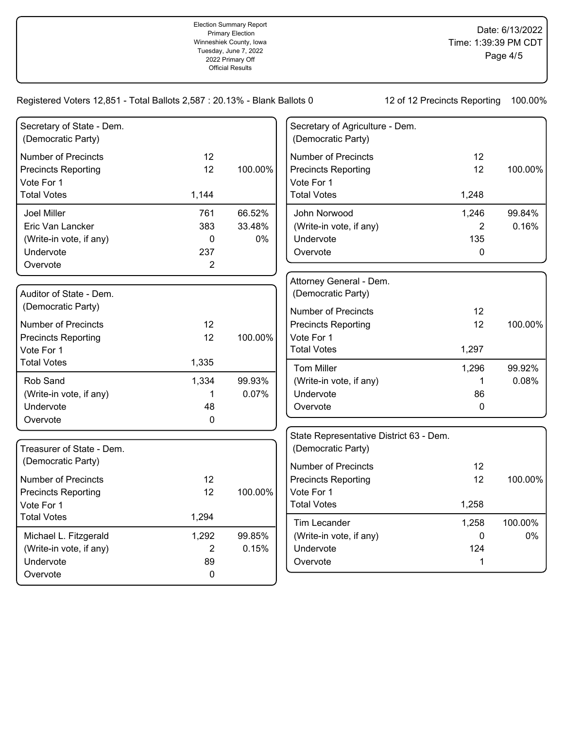| Secretary of State - Dem.<br>(Democratic Party)                        |                |         | Secretary of Agriculture - Dem.<br>(Democratic Party)                  |                |         |
|------------------------------------------------------------------------|----------------|---------|------------------------------------------------------------------------|----------------|---------|
| <b>Number of Precincts</b><br><b>Precincts Reporting</b><br>Vote For 1 | 12<br>12       | 100.00% | <b>Number of Precincts</b><br><b>Precincts Reporting</b><br>Vote For 1 | 12<br>12       | 100.00% |
| <b>Total Votes</b>                                                     | 1,144          |         | <b>Total Votes</b>                                                     | 1,248          |         |
| <b>Joel Miller</b>                                                     | 761            | 66.52%  | John Norwood                                                           | 1,246          | 99.84%  |
| Eric Van Lancker                                                       | 383            | 33.48%  | (Write-in vote, if any)                                                | $\overline{2}$ | 0.16%   |
| (Write-in vote, if any)                                                | 0              | 0%      | Undervote                                                              | 135            |         |
| Undervote                                                              | 237            |         | Overvote                                                               | $\mathbf 0$    |         |
| Overvote                                                               | $\overline{2}$ |         |                                                                        |                |         |
| Auditor of State - Dem.                                                |                |         | Attorney General - Dem.<br>(Democratic Party)                          |                |         |
| (Democratic Party)                                                     |                |         | <b>Number of Precincts</b>                                             | 12             |         |
| <b>Number of Precincts</b>                                             | 12             |         | <b>Precincts Reporting</b>                                             | 12             | 100.00% |
| <b>Precincts Reporting</b>                                             | 12             | 100.00% | Vote For 1                                                             |                |         |
| Vote For 1                                                             |                |         | <b>Total Votes</b>                                                     | 1,297          |         |
| <b>Total Votes</b>                                                     | 1,335          |         | <b>Tom Miller</b>                                                      | 1,296          | 99.92%  |
| Rob Sand                                                               | 1,334          | 99.93%  | (Write-in vote, if any)                                                | $\mathbf 1$    | 0.08%   |
| (Write-in vote, if any)                                                | 1              | 0.07%   | Undervote                                                              | 86             |         |
| Undervote                                                              | 48             |         | Overvote                                                               | $\mathbf 0$    |         |
| Overvote                                                               | 0              |         |                                                                        |                |         |
| Treasurer of State - Dem.                                              |                |         | State Representative District 63 - Dem.<br>(Democratic Party)          |                |         |
| (Democratic Party)                                                     |                |         | <b>Number of Precincts</b>                                             | 12             |         |
| <b>Number of Precincts</b>                                             | 12             |         | <b>Precincts Reporting</b>                                             | 12             | 100.00% |
| <b>Precincts Reporting</b>                                             | 12             | 100.00% | Vote For 1                                                             |                |         |
| Vote For 1                                                             |                |         | <b>Total Votes</b>                                                     | 1,258          |         |
| <b>Total Votes</b>                                                     | 1,294          |         | Tim Lecander                                                           | 1,258          | 100.00% |
| Michael L. Fitzgerald                                                  | 1,292          | 99.85%  | (Write-in vote, if any)                                                | $\mathbf 0$    | 0%      |
| (Write-in vote, if any)                                                | $\overline{2}$ | 0.15%   | Undervote                                                              | 124            |         |
| Undervote                                                              | 89             |         | Overvote                                                               | 1              |         |
| Overvote                                                               | 0              |         |                                                                        |                |         |